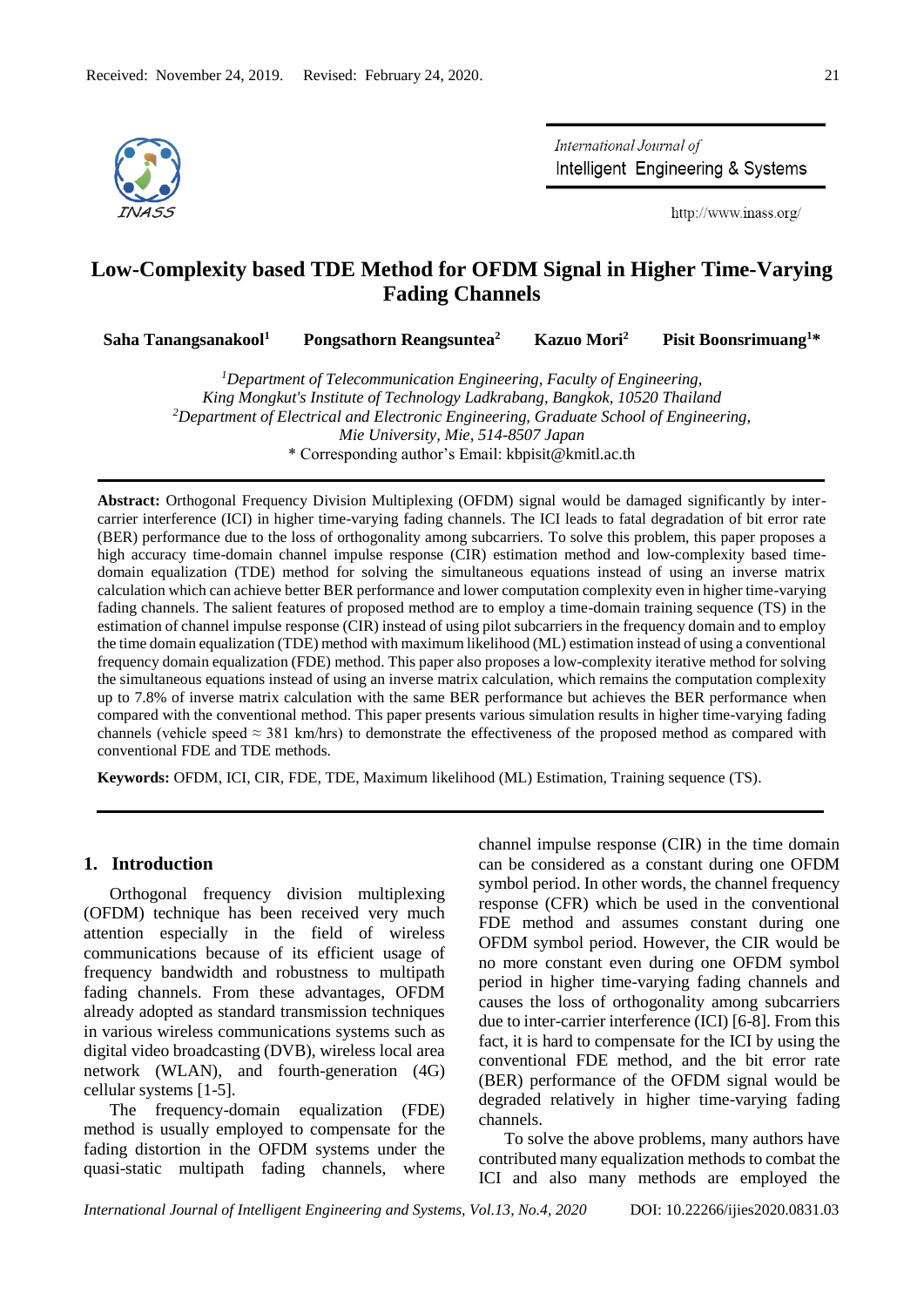

International Journal of Intelligent Engineering & Systems

http://www.inass.org/

# **Low-Complexity based TDE Method for OFDM Signal in Higher Time-Varying Fading Channels**

**Saha Tanangsanakool<sup>1</sup> Pongsathorn Reangsuntea<sup>2</sup> Kazuo Mori<sup>2</sup> Pisit Boonsrimuang<sup>1</sup>\***

*<sup>1</sup>Department of Telecommunication Engineering, Faculty of Engineering, King Mongkut's Institute of Technology Ladkrabang, Bangkok, 10520 Thailand <sup>2</sup>Department of Electrical and Electronic Engineering, Graduate School of Engineering, Mie University, Mie, 514-8507 Japan* \* Corresponding author's Email: kbpisit@kmitl.ac.th

**Abstract:** Orthogonal Frequency Division Multiplexing (OFDM) signal would be damaged significantly by intercarrier interference (ICI) in higher time-varying fading channels. The ICI leads to fatal degradation of bit error rate (BER) performance due to the loss of orthogonality among subcarriers. To solve this problem, this paper proposes a high accuracy time-domain channel impulse response (CIR) estimation method and low-complexity based timedomain equalization (TDE) method for solving the simultaneous equations instead of using an inverse matrix calculation which can achieve better BER performance and lower computation complexity even in higher time-varying fading channels. The salient features of proposed method are to employ a time-domain training sequence (TS) in the estimation of channel impulse response (CIR) instead of using pilot subcarriers in the frequency domain and to employ the time domain equalization (TDE) method with maximum likelihood (ML) estimation instead of using a conventional frequency domain equalization (FDE) method. This paper also proposes a low-complexity iterative method for solving the simultaneous equations instead of using an inverse matrix calculation, which remains the computation complexity up to 7.8% of inverse matrix calculation with the same BER performance but achieves the BER performance when compared with the conventional method. This paper presents various simulation results in higher time-varying fading channels (vehicle speed  $\approx$  381 km/hrs) to demonstrate the effectiveness of the proposed method as compared with conventional FDE and TDE methods.

**Keywords:** OFDM, ICI, CIR, FDE, TDE, Maximum likelihood (ML) Estimation, Training sequence (TS).

# **1. Introduction**

Orthogonal frequency division multiplexing (OFDM) technique has been received very much attention especially in the field of wireless communications because of its efficient usage of frequency bandwidth and robustness to multipath fading channels. From these advantages, OFDM already adopted as standard transmission techniques in various wireless communications systems such as digital video broadcasting (DVB), wireless local area network (WLAN), and fourth-generation (4G) cellular systems [1-5].

The frequency-domain equalization (FDE) method is usually employed to compensate for the fading distortion in the OFDM systems under the quasi-static multipath fading channels, where channel impulse response (CIR) in the time domain can be considered as a constant during one OFDM symbol period. In other words, the channel frequency response (CFR) which be used in the conventional FDE method and assumes constant during one OFDM symbol period. However, the CIR would be no more constant even during one OFDM symbol period in higher time-varying fading channels and causes the loss of orthogonality among subcarriers due to inter-carrier interference (ICI) [6-8]. From this fact, it is hard to compensate for the ICI by using the conventional FDE method, and the bit error rate (BER) performance of the OFDM signal would be degraded relatively in higher time-varying fading channels.

To solve the above problems, many authors have contributed many equalization methods to combat the ICI and also many methods are employed the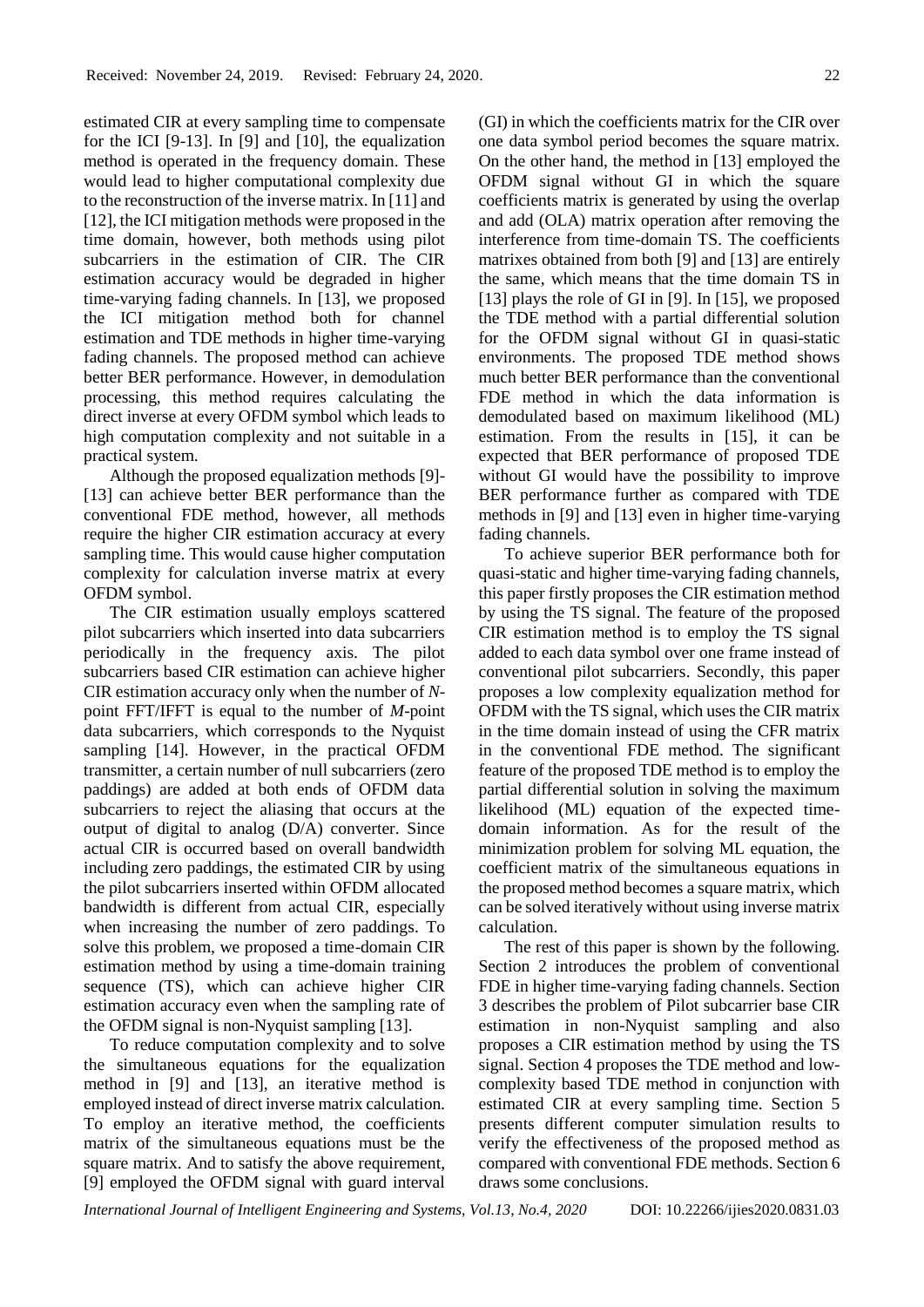estimated CIR at every sampling time to compensate for the ICI [9-13]. In [9] and [10], the equalization method is operated in the frequency domain. These would lead to higher computational complexity due to the reconstruction of the inverse matrix. In [11] and [12], the ICI mitigation methods were proposed in the time domain, however, both methods using pilot subcarriers in the estimation of CIR. The CIR estimation accuracy would be degraded in higher time-varying fading channels. In [13], we proposed the ICI mitigation method both for channel estimation and TDE methods in higher time-varying fading channels. The proposed method can achieve better BER performance. However, in demodulation processing, this method requires calculating the direct inverse at every OFDM symbol which leads to high computation complexity and not suitable in a practical system.

Although the proposed equalization methods [9]- [13] can achieve better BER performance than the conventional FDE method, however, all methods require the higher CIR estimation accuracy at every sampling time. This would cause higher computation complexity for calculation inverse matrix at every OFDM symbol.

The CIR estimation usually employs scattered pilot subcarriers which inserted into data subcarriers periodically in the frequency axis. The pilot subcarriers based CIR estimation can achieve higher CIR estimation accuracy only when the number of *N*point FFT/IFFT is equal to the number of *M*-point data subcarriers, which corresponds to the Nyquist sampling [14]. However, in the practical OFDM transmitter, a certain number of null subcarriers (zero paddings) are added at both ends of OFDM data subcarriers to reject the aliasing that occurs at the output of digital to analog (D/A) converter. Since actual CIR is occurred based on overall bandwidth including zero paddings, the estimated CIR by using the pilot subcarriers inserted within OFDM allocated bandwidth is different from actual CIR, especially when increasing the number of zero paddings. To solve this problem, we proposed a time-domain CIR estimation method by using a time-domain training sequence (TS), which can achieve higher CIR estimation accuracy even when the sampling rate of the OFDM signal is non-Nyquist sampling [13].

To reduce computation complexity and to solve the simultaneous equations for the equalization method in [9] and [13], an iterative method is employed instead of direct inverse matrix calculation. To employ an iterative method, the coefficients matrix of the simultaneous equations must be the square matrix. And to satisfy the above requirement, [9] employed the OFDM signal with guard interval

(GI) in which the coefficients matrix for the CIR over one data symbol period becomes the square matrix. On the other hand, the method in [13] employed the OFDM signal without GI in which the square coefficients matrix is generated by using the overlap and add (OLA) matrix operation after removing the interference from time-domain TS. The coefficients matrixes obtained from both [9] and [13] are entirely the same, which means that the time domain TS in [13] plays the role of GI in [9]. In [15], we proposed the TDE method with a partial differential solution for the OFDM signal without GI in quasi-static environments. The proposed TDE method shows much better BER performance than the conventional FDE method in which the data information is demodulated based on maximum likelihood (ML) estimation. From the results in [15], it can be expected that BER performance of proposed TDE without GI would have the possibility to improve BER performance further as compared with TDE methods in [9] and [13] even in higher time-varying fading channels.

To achieve superior BER performance both for quasi-static and higher time-varying fading channels, this paper firstly proposes the CIR estimation method by using the TS signal. The feature of the proposed CIR estimation method is to employ the TS signal added to each data symbol over one frame instead of conventional pilot subcarriers. Secondly, this paper proposes a low complexity equalization method for OFDM with the TS signal, which uses the CIR matrix in the time domain instead of using the CFR matrix in the conventional FDE method. The significant feature of the proposed TDE method is to employ the partial differential solution in solving the maximum likelihood (ML) equation of the expected timedomain information. As for the result of the minimization problem for solving ML equation, the coefficient matrix of the simultaneous equations in the proposed method becomes a square matrix, which can be solved iteratively without using inverse matrix calculation.

The rest of this paper is shown by the following. Section 2 introduces the problem of conventional FDE in higher time-varying fading channels. Section 3 describes the problem of Pilot subcarrier base CIR estimation in non-Nyquist sampling and also proposes a CIR estimation method by using the TS signal. Section 4 proposes the TDE method and lowcomplexity based TDE method in conjunction with estimated CIR at every sampling time. Section 5 presents different computer simulation results to verify the effectiveness of the proposed method as compared with conventional FDE methods. Section 6 draws some conclusions.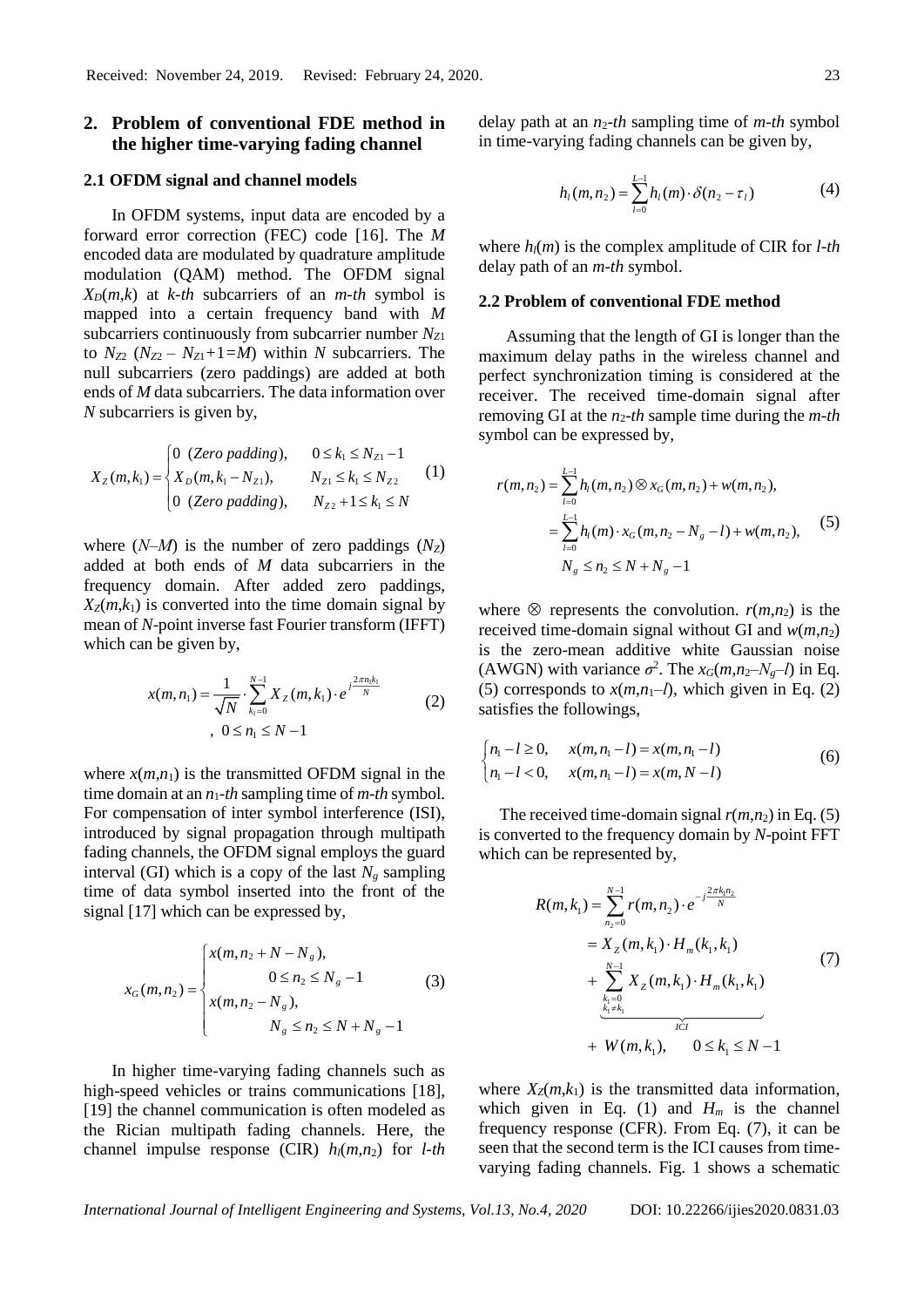# **2. Problem of conventional FDE method in the higher time-varying fading channel**

#### **2.1 OFDM signal and channel models**

In OFDM systems, input data are encoded by a forward error correction (FEC) code [16]. The *M* encoded data are modulated by quadrature amplitude modulation (QAM) method. The OFDM signal  $X_D(m,k)$  at *k-th* subcarriers of an *m-th* symbol is mapped into a certain frequency band with *M* subcarriers continuously from subcarrier number *NZ*<sup>1</sup> to  $N_{Z2}$   $(N_{Z2} - N_{Z1} + 1 = M)$  within *N* subcarriers. The null subcarriers (zero paddings) are added at both ends of *M* data subcarriers. The data information over *N* subcarriers is given by,

$$
X_{Z}(m, k_{1}) = \begin{cases} 0 & (Zero \text{ padding}), & 0 \leq k_{1} \leq N_{Z1} - 1 \\ X_{D}(m, k_{1} - N_{Z1}), & N_{Z1} \leq k_{1} \leq N_{Z2} \\ 0 & (Zero \text{ padding}), & N_{Z2} + 1 \leq k_{1} \leq N \end{cases} \tag{1}
$$

where  $(N-M)$  is the number of zero paddings  $(N_Z)$ added at both ends of *M* data subcarriers in the frequency domain. After added zero paddings,  $X_z(m,k_1)$  is converted into the time domain signal by mean of *N*-point inverse fast Fourier transform (IFFT) which can be given by,

$$
x(m, n_1) = \frac{1}{\sqrt{N}} \cdot \sum_{k_1=0}^{N-1} X_Z(m, k_1) \cdot e^{\int \frac{j2\pi n_1 k_1}{N}} \tag{2}
$$
  
,  $0 \le n_1 \le N-1$ 

where  $x(m,n_1)$  is the transmitted OFDM signal in the time domain at an *n*1*-th* sampling time of *m-th* symbol. For compensation of inter symbol interference (ISI), introduced by signal propagation through multipath fading channels, the OFDM signal employs the guard interval (GI) which is a copy of the last  $N_g$  sampling time of data symbol inserted into the front of the signal [17] which can be expressed by,

$$
x_G(m, n_2) = \begin{cases} x(m, n_2 + N - N_g), \\ 0 \le n_2 \le N_g - 1 \\ x(m, n_2 - N_g), \\ N_g \le n_2 \le N + N_g - 1 \end{cases}
$$
 (3)

In higher time-varying fading channels such as high-speed vehicles or trains communications [18], [19] the channel communication is often modeled as the Rician multipath fading channels. Here, the channel impulse response (CIR)  $h_l(m,n_2)$  for *l-th*  delay path at an  $n_2$ -th sampling time of *m*-th symbol in time-varying fading channels can be given by,

$$
h_1(m, n_2) = \sum_{l=0}^{L-1} h_l(m) \cdot \delta(n_2 - \tau_l)
$$
 (4)

where  $h_l(m)$  is the complex amplitude of CIR for *l*-th delay path of an *m-th* symbol.

#### **2.2 Problem of conventional FDE method**

Assuming that the length of GI is longer than the maximum delay paths in the wireless channel and perfect synchronization timing is considered at the receiver. The received time-domain signal after removing GI at the  $n_2$ -th sample time during the *m*-th symbol can be expressed by,

$$
r(m, n_2) = \sum_{l=0}^{L-1} h_l(m, n_2) \otimes x_G(m, n_2) + w(m, n_2),
$$
  
= 
$$
\sum_{l=0}^{L-1} h_l(m) \cdot x_G(m, n_2 - N_g - l) + w(m, n_2),
$$
 (5)  

$$
N_g \le n_2 \le N + N_g - l
$$

where  $\otimes$  represents the convolution. *r*(*m*,*n*<sub>2</sub>) is the received time-domain signal without GI and  $w(m,n_2)$ is the zero-mean additive white Gaussian noise (AWGN) with variance  $\sigma^2$ . The  $x_G(m, n_2 - N_g - l)$  in Eq. (5) corresponds to  $x(m,n_1-l)$ , which given in Eq. (2) satisfies the followings,

$$
\begin{cases} n_1 - l \ge 0, & x(m, n_1 - l) = x(m, n_1 - l) \\ n_1 - l < 0, \quad x(m, n_1 - l) = x(m, N - l) \end{cases} \tag{6}
$$

The received time-domain signal  $r(m,n_2)$  in Eq. (5) is converted to the frequency domain by *N*-point FFT which can be represented by,

$$
R(m, k_1) = \sum_{n_2=0}^{N-1} r(m, n_2) \cdot e^{-j\frac{2\pi k_1 n_2}{N}}
$$
  
=  $X_Z(m, k_1) \cdot H_m(k_1, k_1)$   
+  $\sum_{\substack{k_1=0 \ k_1 \neq k_1}}^{N-1} X_Z(m, k_1) \cdot H_m(k_1, k_1)$   
+  $W(m, k_1), \quad 0 \le k_1 \le N-1$  (7)

where  $X_Z(m, k_1)$  is the transmitted data information, which given in Eq. (1) and  $H_m$  is the channel frequency response (CFR). From Eq. (7), it can be seen that the second term is the ICI causes from timevarying fading channels. Fig. 1 shows a schematic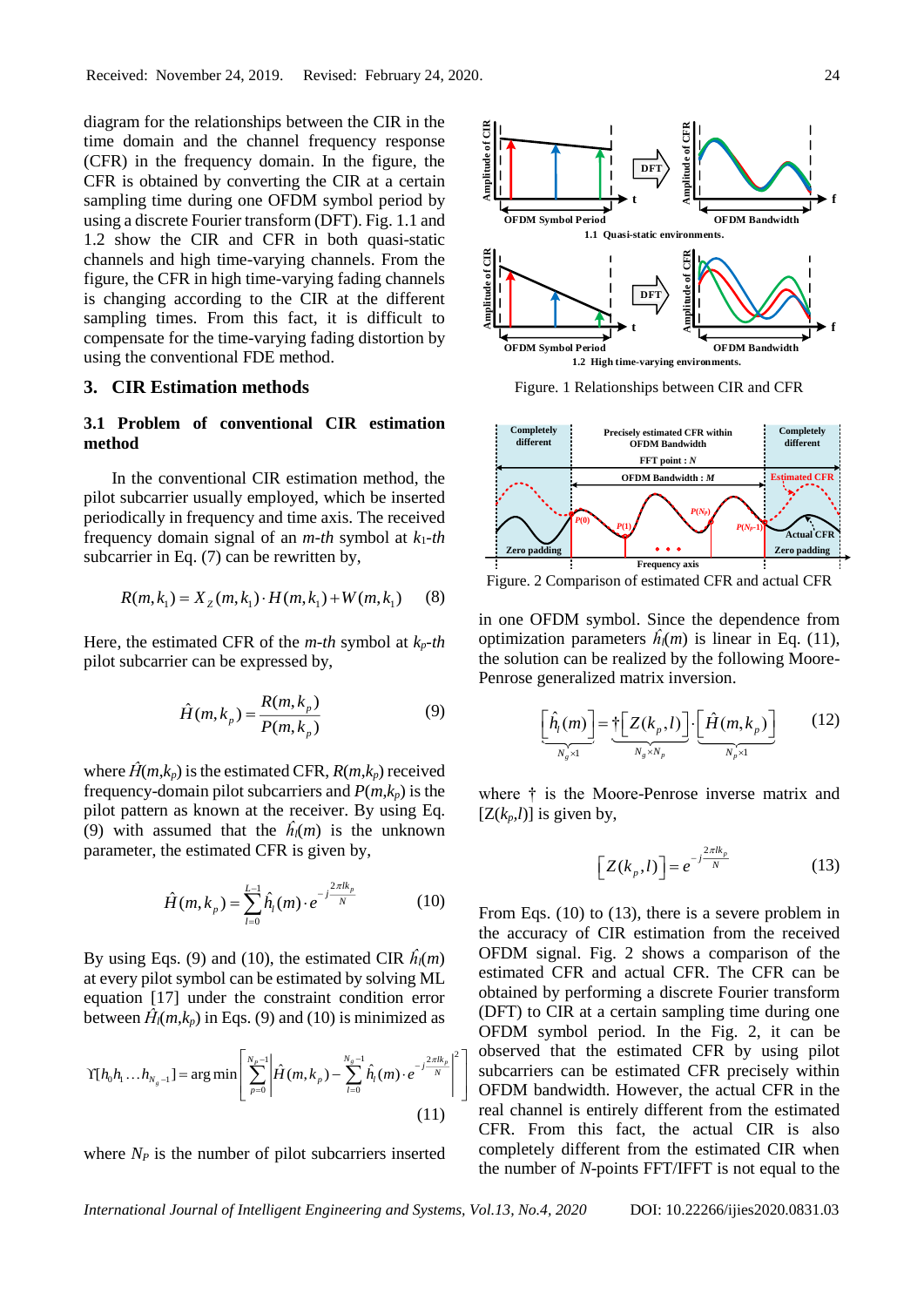diagram for the relationships between the CIR in the time domain and the channel frequency response (CFR) in the frequency domain. In the figure, the CFR is obtained by converting the CIR at a certain sampling time during one OFDM symbol period by using a discrete Fourier transform (DFT). Fig. 1.1 and 1.2 show the CIR and CFR in both quasi-static channels and high time-varying channels. From the figure, the CFR in high time-varying fading channels is changing according to the CIR at the different sampling times. From this fact, it is difficult to compensate for the time-varying fading distortion by using the conventional FDE method.

#### **3. CIR Estimation methods**

# **3.1 Problem of conventional CIR estimation method**

In the conventional CIR estimation method, the pilot subcarrier usually employed, which be inserted periodically in frequency and time axis. The received frequency domain signal of an *m-th* symbol at *k*1*-th* subcarrier in Eq. (7) can be rewritten by,

$$
R(m, k_1) = X_Z(m, k_1) \cdot H(m, k_1) + W(m, k_1)
$$
 (8)

Here, the estimated CFR of the *m-th* symbol at *kp-th*  pilot subcarrier can be expressed by,

$$
\hat{H}(m, k_{p}) = \frac{R(m, k_{p})}{P(m, k_{p})}
$$
\n(9)

where  $\hat{H}(m,k_p)$  is the estimated CFR,  $R(m,k_p)$  received frequency-domain pilot subcarriers and  $P(m,k_p)$  is the pilot pattern as known at the receiver. By using Eq. (9) with assumed that the  $\hat{h}_l(m)$  is the unknown parameter, the estimated CFR is given by,

$$
\hat{H}(m, k_p) = \sum_{l=0}^{L-1} \hat{h}_l(m) \cdot e^{-j\frac{2\pi l k_p}{N}} \tag{10}
$$

By using Eqs. (9) and (10), the estimated CIR  $\hat{h}_l(m)$ at every pilot symbol can be estimated by solving ML equation [17] under the constraint condition error between  $\hat{H}_l(m,k_p)$  in Eqs. (9) and (10) is minimized as

$$
\Upsilon[h_0h_1...h_{N_s-1}] = \arg\min \left[ \sum_{p=0}^{N_p-1} \left| \hat{H}(m,k_p) - \sum_{l=0}^{N_s-1} \hat{h}_l(m) \cdot e^{-j\frac{2\pi lk_p}{N}} \right|^2 \right]
$$
\n(11)

where  $N_P$  is the number of pilot subcarriers inserted



Figure. 1 Relationships between CIR and CFR



Figure. 2 Comparison of estimated CFR and actual CFR

in one OFDM symbol. Since the dependence from optimization parameters  $\hat{h}_l(m)$  is linear in Eq. (11), the solution can be realized by the following Moore-Penrose generalized matrix inversion.

$$
\underbrace{\left[\hat{h}_l(m)\right]}_{N_g \times 1} = \underbrace{\dagger \left[Z(k_p, l)\right]}_{N_g \times N_p} \cdot \underbrace{\left[\hat{H}(m, k_p)\right]}_{N_p \times 1} \tag{12}
$$

where † is the Moore-Penrose inverse matrix and  $[Z(k_p, l)]$  is given by,

$$
\[Z(k_p, l)\] = e^{-j\frac{2\pi l k_p}{N}}\tag{13}
$$

From Eqs. (10) to (13), there is a severe problem in the accuracy of CIR estimation from the received OFDM signal. Fig. 2 shows a comparison of the estimated CFR and actual CFR. The CFR can be obtained by performing a discrete Fourier transform (DFT) to CIR at a certain sampling time during one OFDM symbol period. In the Fig. 2, it can be observed that the estimated CFR by using pilot subcarriers can be estimated CFR precisely within OFDM bandwidth. However, the actual CFR in the real channel is entirely different from the estimated CFR. From this fact, the actual CIR is also completely different from the estimated CIR when the number of *N*-points FFT/IFFT is not equal to the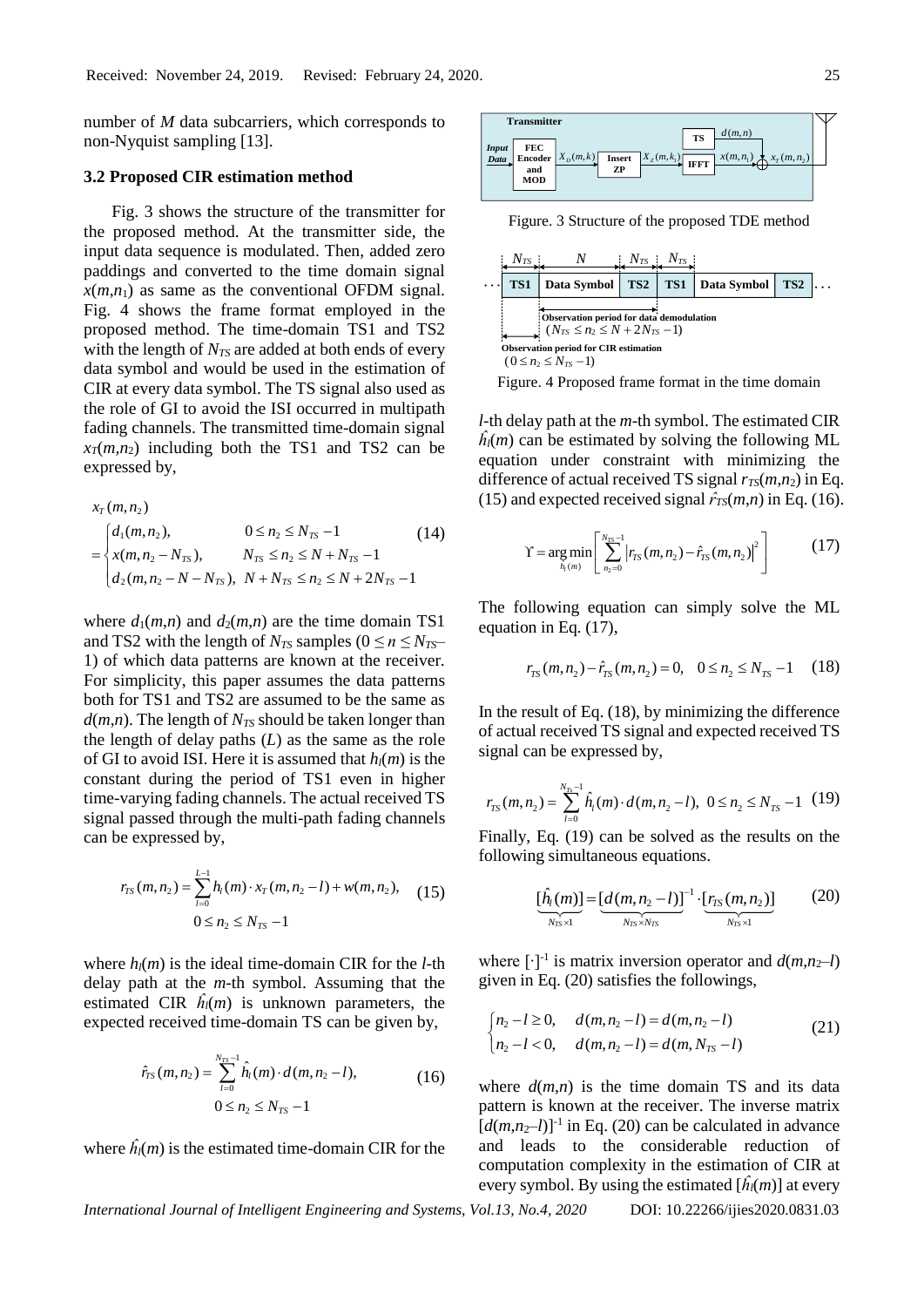number of *M* data subcarriers, which corresponds to non-Nyquist sampling [13].

## **3.2 Proposed CIR estimation method**

Fig. 3 shows the structure of the transmitter for the proposed method. At the transmitter side, the input data sequence is modulated. Then, added zero paddings and converted to the time domain signal  $x(m,n_1)$  as same as the conventional OFDM signal. Fig. 4 shows the frame format employed in the proposed method. The time-domain TS1 and TS2 with the length of  $N_{TS}$  are added at both ends of every data symbol and would be used in the estimation of CIR at every data symbol. The TS signal also used as the role of GI to avoid the ISI occurred in multipath fading channels. The transmitted time-domain signal  $x_7(m,n_2)$  including both the TS1 and TS2 can be expressed by,

$$
x_{T}(m, n_{2})
$$
\n
$$
= \begin{cases}\nd_{1}(m, n_{2}), & 0 \leq n_{2} \leq N_{TS} - 1 \\
x(m, n_{2} - N_{TS}), & N_{TS} \leq n_{2} \leq N + N_{TS} - 1 \\
d_{2}(m, n_{2} - N - N_{TS}), & N + N_{TS} \leq n_{2} \leq N + 2N_{TS} - 1\n\end{cases}
$$
\n(14)

where  $d_1(m,n)$  and  $d_2(m,n)$  are the time domain TS1 and TS2 with the length of  $N_{TS}$  samples ( $0 \le n \le N_{TS}$ 1) of which data patterns are known at the receiver. For simplicity, this paper assumes the data patterns both for TS1 and TS2 are assumed to be the same as  $d(m,n)$ . The length of  $N_{TS}$  should be taken longer than the length of delay paths (*L*) as the same as the role of GI to avoid ISI. Here it is assumed that  $h_l(m)$  is the constant during the period of TS1 even in higher time-varying fading channels. The actual received TS signal passed through the multi-path fading channels can be expressed by,

$$
r_{TS}(m, n_2) = \sum_{l=0}^{L-1} h_l(m) \cdot x_T(m, n_2 - l) + w(m, n_2), \quad (15)
$$
  
0 \le n\_2 \le N\_{TS} - 1

where  $h_l(m)$  is the ideal time-domain CIR for the *l*-th delay path at the *m-*th symbol. Assuming that the estimated CIR  $\hat{h}_l(m)$  is unknown parameters, the expected received time-domain TS can be given by,

$$
\hat{r}_{TS}(m, n_2) = \sum_{l=0}^{N_{TS}-1} \hat{h}_l(m) \cdot d(m, n_2 - l),
$$
\n
$$
0 \le n_2 \le N_{TS}-1
$$
\n(16)

where  $\hat{h}_l(m)$  is the estimated time-domain CIR for the



Figure. 3 Structure of the proposed TDE method



Figure. 4 Proposed frame format in the time domain

*l-*th delay path at the *m-*th symbol. The estimated CIR  $\hat{h}_l(m)$  can be estimated by solving the following ML equation under constraint with minimizing the difference of actual received TS signal  $r_{TS}(m,n_2)$  in Eq. (15) and expected received signal  $\hat{r}_{TS}(m,n)$  in Eq. (16).

$$
\Upsilon = \underset{\hat{h}_1(m)}{\arg \min} \left[ \sum_{n_2=0}^{N_{TS}-1} \left| r_{TS}(m, n_2) - \hat{r}_{TS}(m, n_2) \right|^2 \right] \tag{17}
$$

The following equation can simply solve the ML equation in Eq. (17),

$$
r_{TS}(m, n_2) - \hat{r}_{TS}(m, n_2) = 0, \quad 0 \le n_2 \le N_{TS} - 1 \quad (18)
$$

In the result of Eq. (18), by minimizing the difference of actual received TS signal and expected received TS signal can be expressed by,

$$
r_{TS}(m, n_2) = \sum_{l=0}^{N_{Ts}-1} \hat{h}_l(m) \cdot d(m, n_2 - l), \ 0 \le n_2 \le N_{TS} - 1 \ (19)
$$

Finally, Eq. (19) can be solved as the results on the following simultaneous equations.

$$
\underbrace{[\hat{h}_l(m)]}_{N_{TS} \times 1} = \underbrace{[d(m, n_2 - l)]}_{N_{TS} \times N_{TS}}^{-1} \cdot \underbrace{[r_{TS}(m, n_2)]}_{N_{TS} \times 1}
$$
 (20)

where  $[\cdot]$ <sup>-1</sup> is matrix inversion operator and  $d(m, n_2-l)$ given in Eq. (20) satisfies the followings,

$$
\begin{cases} n_2 - l \ge 0, & d(m, n_2 - l) = d(m, n_2 - l) \\ n_2 - l < 0, \quad d(m, n_2 - l) = d(m, N_{TS} - l) \end{cases} \tag{21}
$$

where  $d(m,n)$  is the time domain TS and its data pattern is known at the receiver. The inverse matrix  $[d(m,n<sub>2</sub>-l)]<sup>-1</sup>$  in Eq. (20) can be calculated in advance and leads to the considerable reduction of computation complexity in the estimation of CIR at every symbol. By using the estimated  $[\hat{h}_l(m)]$  at every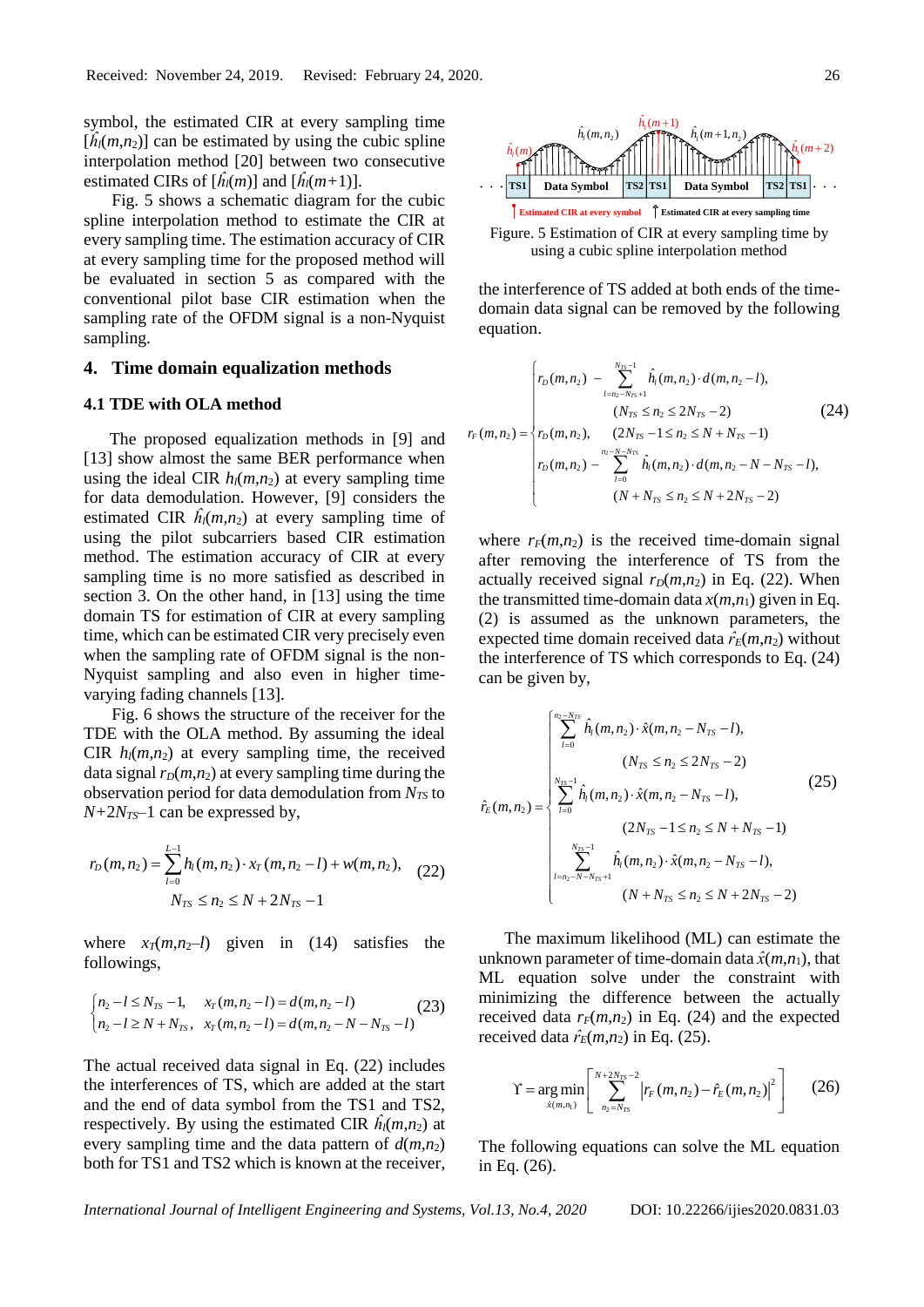symbol, the estimated CIR at every sampling time  $[\hat{h}_l(m,n_2)]$  can be estimated by using the cubic spline interpolation method [20] between two consecutive estimated CIRs of  $[\hat{h}_l(m)]$  and  $[\hat{h}_l(m+1)]$ .

Fig. 5 shows a schematic diagram for the cubic spline interpolation method to estimate the CIR at every sampling time. The estimation accuracy of CIR at every sampling time for the proposed method will be evaluated in section 5 as compared with the conventional pilot base CIR estimation when the sampling rate of the OFDM signal is a non-Nyquist sampling.

#### **4. Time domain equalization methods**

## **4.1 TDE with OLA method**

The proposed equalization methods in [9] and [13] show almost the same BER performance when using the ideal CIR  $h_l(m,n_2)$  at every sampling time for data demodulation. However, [9] considers the estimated CIR  $\hat{h}_1(m,n_2)$  at every sampling time of using the pilot subcarriers based CIR estimation method. The estimation accuracy of CIR at every sampling time is no more satisfied as described in section 3. On the other hand, in [13] using the time domain TS for estimation of CIR at every sampling time, which can be estimated CIR very precisely even when the sampling rate of OFDM signal is the non-Nyquist sampling and also even in higher timevarying fading channels [13].

Fig. 6 shows the structure of the receiver for the TDE with the OLA method. By assuming the ideal CIR  $h_l(m,n_2)$  at every sampling time, the received data signal  $r_D(m,n_2)$  at every sampling time during the observation period for data demodulation from *NTS* to  $N+2N<sub>TS</sub>$ <sup> $-1$ </sup> can be expressed by,

$$
r_D(m, n_2) = \sum_{l=0}^{L-1} h_l(m, n_2) \cdot x_T(m, n_2 - l) + w(m, n_2),
$$
  
\n
$$
N_{TS} \le n_2 \le N + 2N_{TS} - 1
$$
\n(22)

where  $x_T(m, n_2-l)$  given in (14) satisfies the followings,

$$
\begin{cases} n_2 - l \le N_{TS} - 1, & x_T(m, n_2 - l) = d(m, n_2 - l) \\ n_2 - l \ge N + N_{TS}, & x_T(m, n_2 - l) = d(m, n_2 - N - N_{TS} - l) \end{cases} (23)
$$

The actual received data signal in Eq. (22) includes the interferences of TS, which are added at the start and the end of data symbol from the TS1 and TS2, respectively. By using the estimated CIR  $\hat{h}_i(m,n_2)$  at every sampling time and the data pattern of  $d(m, n_2)$ both for TS1 and TS2 which is known at the receiver,



Figure. 5 Estimation of CIR at every sampling time by using a cubic spline interpolation method

the interference of TS added at both ends of the timedomain data signal can be removed by the following equation.

$$
r_F(m, n_2) = \begin{cases} r_D(m, n_2) & -\sum_{l=n_2-N_{TS}+1}^{N_{TS}-1} \hat{h}_l(m, n_2) \cdot d(m, n_2 - l), \\ & (N_{TS} \le n_2 \le 2N_{TS} - 2) \\ r_D(m, n_2), & (2N_{TS}-1 \le n_2 \le N+N_{TS}-1) \\ r_D(m, n_2) & -\sum_{l=0}^{n_2-N_{TS}} \hat{h}_l(m, n_2) \cdot d(m, n_2 - N - N_{TS} - l), \\ & (N+N_{TS} \le n_2 \le N+2N_{TS}-2) \end{cases}
$$
(24)

where  $r_F(m,n_2)$  is the received time-domain signal after removing the interference of TS from the actually received signal  $r_D(m,n_2)$  in Eq. (22). When the transmitted time-domain data  $x(m,n_1)$  given in Eq. (2) is assumed as the unknown parameters, the expected time domain received data  $\hat{r}_E(m,n_2)$  without the interference of TS which corresponds to Eq. (24) can be given by,

$$
\hat{r}_{E}(m, n_{2}) = \begin{cases}\n\sum_{l=0}^{n_{2} - N_{TS}} \hat{h}_{l}(m, n_{2}) \cdot \hat{x}(m, n_{2} - N_{TS} - l), & (N_{TS} \le n_{2} \le 2N_{TS} - 2) \\
\sum_{l=0}^{N_{TS}-1} \hat{h}_{l}(m, n_{2}) \cdot \hat{x}(m, n_{2} - N_{TS} - l), & (25) \\
(2N_{TS} - 1 \le n_{2} \le N + N_{TS} - 1) & \\
\sum_{l=n_{2} - N - N_{TS} + 1}^{N_{TS}-1} \hat{h}_{l}(m, n_{2}) \cdot \hat{x}(m, n_{2} - N_{TS} - l), & (N + N_{TS} \le n_{2} \le N + 2N_{TS} - 2)\n\end{cases}
$$

The maximum likelihood (ML) can estimate the unknown parameter of time-domain data  $\hat{x}(m,n_1)$ , that ML equation solve under the constraint with minimizing the difference between the actually received data  $r_F(m,n_2)$  in Eq. (24) and the expected received data  $\hat{r}_E(m,n_2)$  in Eq. (25).

$$
\Upsilon = \underset{\hat{x}(m,n_1)}{\arg\min} \left[ \sum_{n_2=N_{TS}}^{N+2N_{TS}-2} \left| r_F(m,n_2) - \hat{r}_E(m,n_2) \right|^2 \right] \tag{26}
$$

The following equations can solve the ML equation in Eq. (26).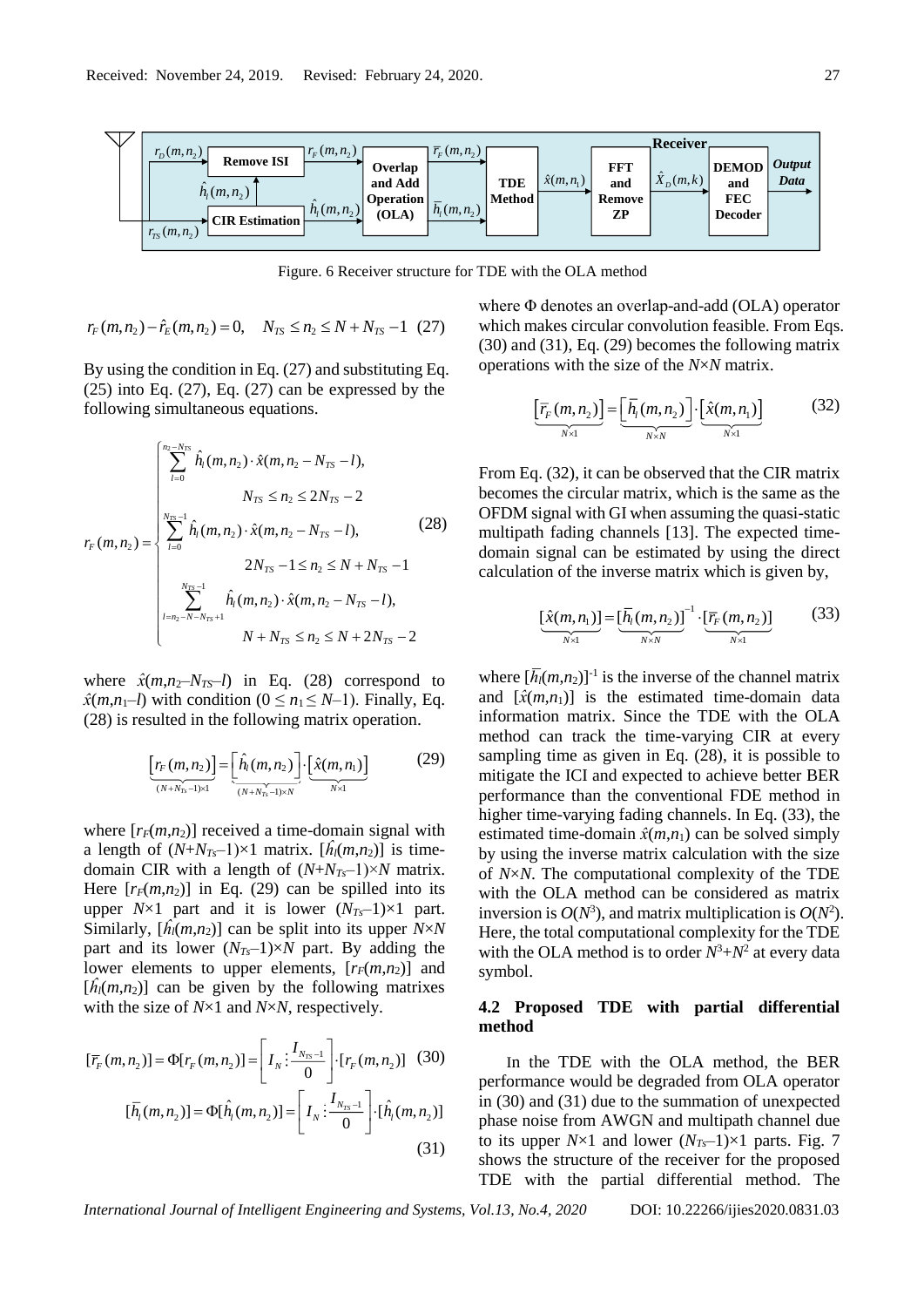

Figure. 6 Receiver structure for TDE with the OLA method

$$
r_F(m, n_2) - \hat{r}_E(m, n_2) = 0, \quad N_{TS} \le n_2 \le N + N_{TS} - 1 \quad (27)
$$

By using the condition in Eq. (27) and substituting Eq.  $(25)$  into Eq.  $(27)$ , Eq.  $(27)$  can be expressed by the following simultaneous equations.

$$
r_{F}(m, n_{2}) = \begin{cases} \sum_{l=0}^{n_{2}-N_{TS}} \hat{h}_{l}(m, n_{2}) \cdot \hat{x}(m, n_{2} - N_{TS} - l), \\ N_{TS} \leq n_{2} \leq 2N_{TS} - 2 \\ \sum_{l=0}^{N_{TS}-1} \hat{h}_{l}(m, n_{2}) \cdot \hat{x}(m, n_{2} - N_{TS} - l), \\ 2N_{TS} - 1 \leq n_{2} \leq N + N_{TS} - 1 \\ \sum_{l=n_{2}-N-N_{TS}+1}^{N_{TS}-1} \hat{h}_{l}(m, n_{2}) \cdot \hat{x}(m, n_{2} - N_{TS} - l), \\ N + N_{TS} \leq n_{2} \leq N + 2N_{TS} - 2 \end{cases}
$$
(28)

where  $\hat{x}(m,n_2-N_{TS}-l)$  in Eq. (28) correspond to  $\hat{x}(m,n_1-l)$  with condition ( $0 \le n_1 \le N-1$ ). Finally, Eq. (28) is resulted in the following matrix operation.

$$
\underbrace{\left[r_F(m,n_2)\right]}_{(N+N_{Ts}-1)\times 1} = \underbrace{\left[\hat{h}_l(m,n_2)\right]}_{(N+N_{Ts}-1)\times N} \cdot \underbrace{\left[\hat{x}(m,n_1)\right]}_{N\times 1} \tag{29}
$$

where  $[r_F(m,n_2)]$  received a time-domain signal with a length of  $(N+N_{Ts}-1)\times 1$  matrix.  $[\hat{h}_l(m,n_2)]$  is timedomain CIR with a length of  $(N+N_{Ts}-1) \times N$  matrix. Here  $[r_F(m,n_2)]$  in Eq. (29) can be spilled into its upper  $N \times 1$  part and it is lower  $(N_{Ts}-1) \times 1$  part. Similarly,  $[\hat{h}_l(m,n_2)]$  can be split into its upper  $N \times N$ part and its lower  $(N_{Ts}-1)\times N$  part. By adding the lower elements to upper elements,  $[r_F(m,n_2)]$  and  $[\hat{h}_l(m,n_2)]$  can be given by the following matrixes with the size of *N*×1 and *N*×*N*, respectively.

$$
[\overline{r}_F(m, n_2)] = \Phi[r_F(m, n_2)] = \left[I_N : \frac{I_{N_{TS}-1}}{0}\right] \cdot [r_F(m, n_2)] \quad (30)
$$

$$
[\overline{h}_I(m, n_2)] = \Phi[\hat{h}_I(m, n_2)] = \left[I_N : \frac{I_{N_{TS}-1}}{0}\right] \cdot [\hat{h}_I(m, n_2)] \quad (31)
$$

where Φ denotes an overlap-and-add (OLA) operator which makes circular convolution feasible. From Eqs. (30) and (31), Eq. (29) becomes the following matrix operations with the size of the *N*×*N* matrix.

$$
\underbrace{\left[\overline{r}_{F}(m,n_{2})\right]}_{N\times 1} = \underbrace{\left[\overline{h}_{l}(m,n_{2})\right]}_{N\times N} \cdot \underbrace{\left[\hat{x}(m,n_{1})\right]}_{N\times 1}
$$
(32)

From Eq. (32), it can be observed that the CIR matrix becomes the circular matrix, which is the same as the OFDM signal with GI when assuming the quasi-static multipath fading channels [13]. The expected timedomain signal can be estimated by using the direct calculation of the inverse matrix which is given by,

$$
\underbrace{\left[\hat{x}(m,n_1)\right]}_{N\times 1} = \underbrace{\left[\overline{h}_l(m,n_2)\right]}_{N\times N}^{-1} \cdot \underbrace{\left[\overline{r}_F(m,n_2)\right]}_{N\times 1} \tag{33}
$$

where  $[\bar{h}_l(m,n_2)]^{-1}$  is the inverse of the channel matrix and  $[\hat{x}(m,n_1)]$  is the estimated time-domain data information matrix. Since the TDE with the OLA method can track the time-varying CIR at every sampling time as given in Eq. (28), it is possible to mitigate the ICI and expected to achieve better BER performance than the conventional FDE method in higher time-varying fading channels. In Eq. (33), the estimated time-domain  $\hat{x}(m,n_1)$  can be solved simply by using the inverse matrix calculation with the size of *N*×*N*. The computational complexity of the TDE with the OLA method can be considered as matrix inversion is  $O(N^3)$ , and matrix multiplication is  $O(N^2)$ . Here, the total computational complexity for the TDE with the OLA method is to order  $N^3 + N^2$  at every data symbol.

# **4.2 Proposed TDE with partial differential method**

In the TDE with the OLA method, the BER performance would be degraded from OLA operator in (30) and (31) due to the summation of unexpected phase noise from AWGN and multipath channel due to its upper  $N \times 1$  and lower  $(N_{Ts}-1) \times 1$  parts. Fig. 7 shows the structure of the receiver for the proposed TDE with the partial differential method. The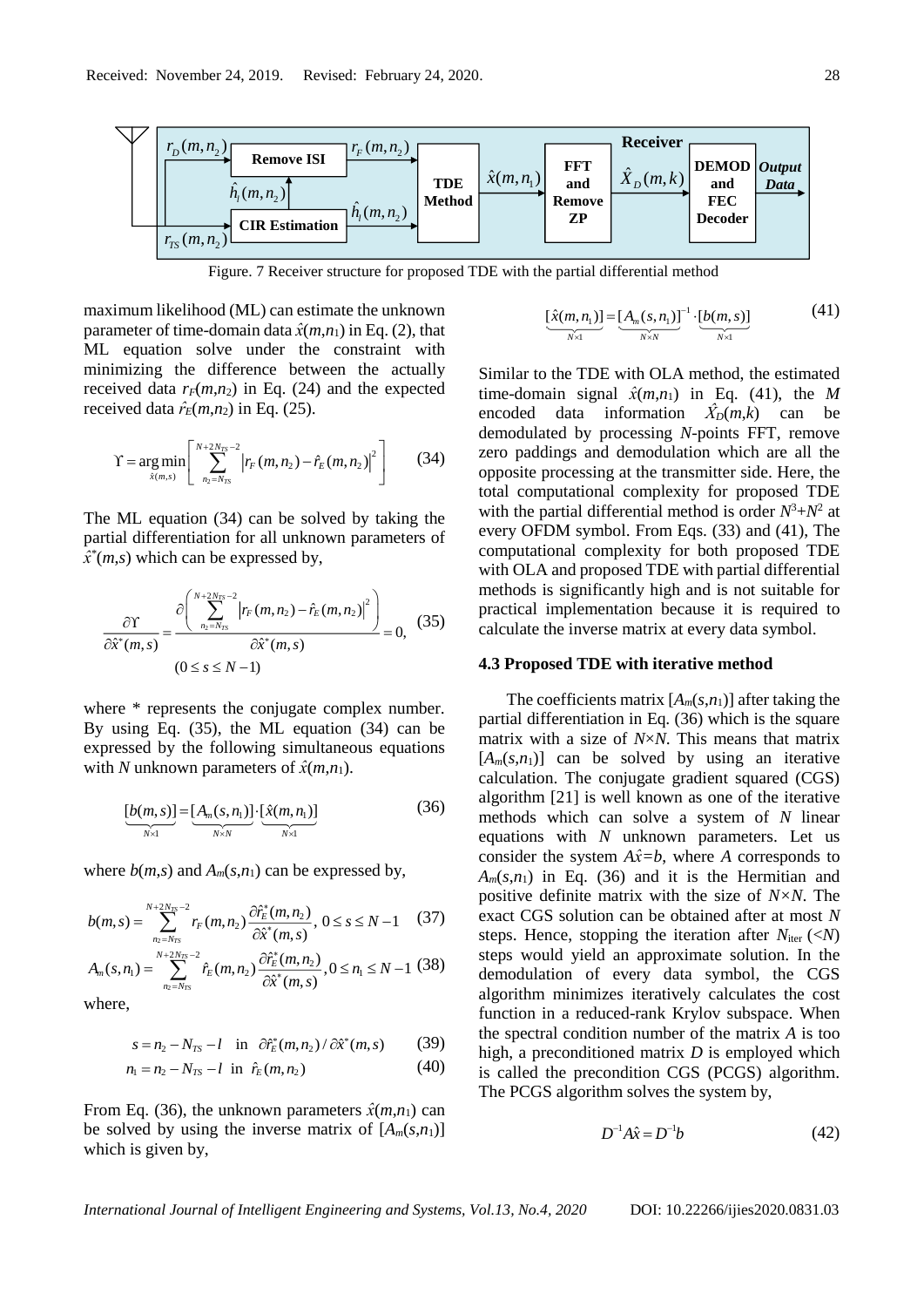

Figure. 7 Receiver structure for proposed TDE with the partial differential method

maximum likelihood (ML) can estimate the unknown parameter of time-domain data  $\hat{x}(m,n_1)$  in Eq. (2), that ML equation solve under the constraint with minimizing the difference between the actually received data  $r_F(m,n_2)$  in Eq. (24) and the expected received data  $\hat{r}_E(m,n_2)$  in Eq. (25).

$$
\Upsilon = \underset{\hat{x}(m,s)}{\arg\min} \left[ \sum_{n_2=N_{TS}}^{N+2N_{TS}-2} \left| r_F(m,n_2) - \hat{r}_E(m,n_2) \right|^2 \right] \tag{34}
$$

The ML equation (34) can be solved by taking the partial differentiation for all unknown parameters of  $\hat{x}^*(m,s)$  which can be expressed by,

$$
\frac{\partial \Upsilon}{\partial \hat{x}^*(m,s)} = \frac{\partial \left( \sum_{n_2=N_{TS}}^{N+2N_{TS}-2} \left| r_F(m,n_2) - \hat{r}_E(m,n_2) \right|^2 \right)}{\partial \hat{x}^*(m,s)} = 0, \quad (35)
$$
\n
$$
(0 \le s \le N-1)
$$

where \* represents the conjugate complex number. By using Eq. (35), the ML equation (34) can be expressed by the following simultaneous equations with *N* unknown parameters of  $\hat{x}(m,n_1)$ .

$$
\underbrace{[b(m,s)]}_{N\times 1} = \underbrace{[A_m(s,n_1)]}_{N\times N} \cdot \underbrace{[\hat{x}(m,n_1)]}_{N\times 1}
$$
 (36)

where  $b(m,s)$  and  $A_m(s,n_1)$  can be expressed by,

$$
b(m,s) = \sum_{n_2=N_{TS}}^{N+2N_{TS}-2} r_F(m,n_2) \frac{\partial \hat{r}_E^*(m,n_2)}{\partial \hat{x}^*(m,s)}, 0 \le s \le N-1 \quad (37)
$$

$$
A_m(s, n_1) = \sum_{n_2=N_{TS}}^{N+2N_{TS}-2} \hat{r}_E(m, n_2) \frac{\partial \hat{r}_E^*(m, n_2)}{\partial \hat{x}^*(m, s)}, 0 \le n_1 \le N - 1 \tag{38}
$$

where,

$$
s = n_2 - N_{TS} - l \quad \text{in} \quad \partial \hat{r}_E^*(m, n_2) / \partial \hat{x}^*(m, s) \tag{39}
$$

$$
n_1 = n_2 - N_{TS} - l \text{ in } \hat{r}_E(m, n_2)
$$
 (40)

From Eq. (36), the unknown parameters  $\hat{x}(m,n_1)$  can be solved by using the inverse matrix of  $[A_m(s,n_1)]$ which is given by,

$$
\underbrace{[\hat{x}(m,n_1)]}_{N \times 1} = \underbrace{[A_m(s,n_1)]}_{N \times N}^{-1} \cdot \underbrace{[b(m,s)]}_{N \times 1}
$$
 (41)

Similar to the TDE with OLA method, the estimated time-domain signal  $\hat{x}(m,n_1)$  in Eq. (41), the *M* encoded data information  $\ddot{X}_D(m,k)$  can be demodulated by processing *N*-points FFT, remove zero paddings and demodulation which are all the opposite processing at the transmitter side. Here, the total computational complexity for proposed TDE with the partial differential method is order  $N^3 + N^2$  at every OFDM symbol. From Eqs. (33) and (41), The computational complexity for both proposed TDE with OLA and proposed TDE with partial differential methods is significantly high and is not suitable for practical implementation because it is required to calculate the inverse matrix at every data symbol.

#### **4.3 Proposed TDE with iterative method**

The coefficients matrix  $[A_m(s,n_1)]$  after taking the partial differentiation in Eq. (36) which is the square matrix with a size of *N*×*N*. This means that matrix  $[A_m(s,n_1)]$  can be solved by using an iterative calculation. The conjugate gradient squared (CGS) algorithm [21] is well known as one of the iterative methods which can solve a system of *N* linear equations with *N* unknown parameters. Let us consider the system  $A\hat{x}=b$ , where *A* corresponds to  $A_m(s,n_1)$  in Eq. (36) and it is the Hermitian and positive definite matrix with the size of *N×N*. The exact CGS solution can be obtained after at most *N* steps. Hence, stopping the iteration after  $N_{\text{iter}} (\langle N \rangle)$ steps would yield an approximate solution. In the demodulation of every data symbol, the CGS algorithm minimizes iteratively calculates the cost function in a reduced-rank Krylov subspace. When the spectral condition number of the matrix *A* is too high, a preconditioned matrix *D* is employed which is called the precondition CGS (PCGS) algorithm. The PCGS algorithm solves the system by,

$$
D^{-1}A\hat{x} = D^{-1}b\tag{42}
$$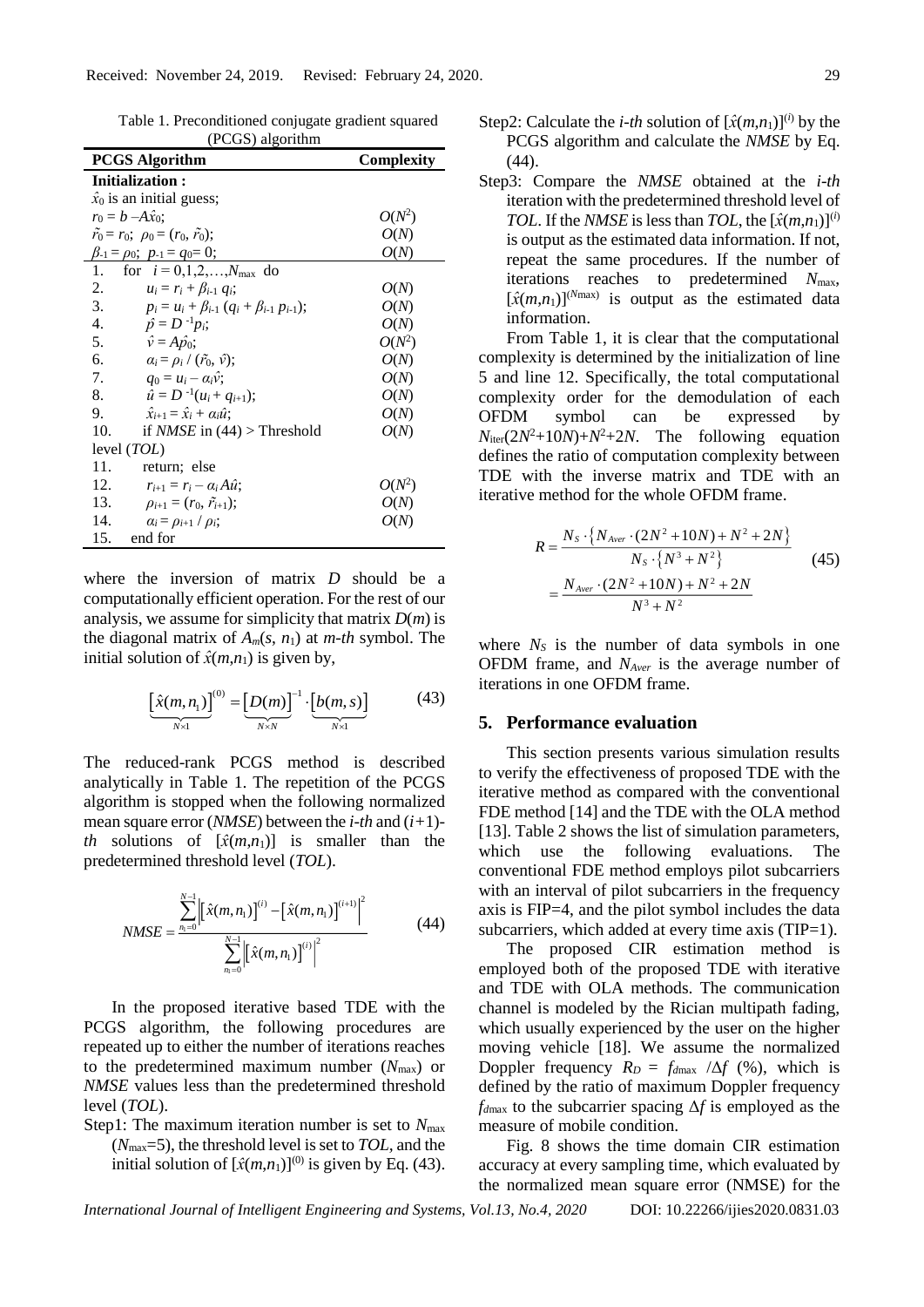| $(\Gamma \cup \cup)$ argoriumi                               |                   |  |  |  |  |  |  |
|--------------------------------------------------------------|-------------------|--|--|--|--|--|--|
| <b>PCGS</b> Algorithm                                        | <b>Complexity</b> |  |  |  |  |  |  |
| <b>Initialization:</b>                                       |                   |  |  |  |  |  |  |
| $\hat{x}_0$ is an initial guess;                             |                   |  |  |  |  |  |  |
| $r_0 = b - A\hat{x}_0;$                                      | $O(N^2)$          |  |  |  |  |  |  |
| $\tilde{r}_0 = r_0; \ \rho_0 = (r_0, \tilde{r}_0);$          | O(N)              |  |  |  |  |  |  |
| $\beta_{-1} = \rho_0$ ; $p_{-1} = q_0 = 0$ ;                 | O(N)              |  |  |  |  |  |  |
| for $i = 0, 1, 2, , N_{\text{max}}$ do<br>1.                 |                   |  |  |  |  |  |  |
| 2.<br>$u_i = r_i + \beta_{i-1} q_i;$                         | O(N)              |  |  |  |  |  |  |
| 3.<br>$p_i = u_i + \beta_{i-1} (q_i + \beta_{i-1} p_{i-1});$ | O(N)              |  |  |  |  |  |  |
| 4.<br>$\hat{p} = D^{-1} p_i;$                                | O(N)              |  |  |  |  |  |  |
| 5.<br>$\hat{v} = A \hat{p}_0;$                               | $O(N^2)$          |  |  |  |  |  |  |
| 6.<br>$\alpha_i = \rho_i / (\tilde{r}_0, \hat{v});$          | O(N)              |  |  |  |  |  |  |
| 7.<br>$q_0 = u_i - \alpha_i \hat{v}$ ;                       | O(N)              |  |  |  |  |  |  |
| 8.<br>$\hat{u} = D^{-1}(u_i + q_{i+1});$                     | O(N)              |  |  |  |  |  |  |
| 9.<br>$\hat{x}_{i+1} = \hat{x}_i + \alpha_i \hat{u}$ :       | O(N)              |  |  |  |  |  |  |
| 10.<br>if <i>NMSE</i> in $(44)$ > Threshold                  | O(N)              |  |  |  |  |  |  |
| level $(TOL)$                                                |                   |  |  |  |  |  |  |
| 11.<br>return; else                                          |                   |  |  |  |  |  |  |
| 12.<br>$r_{i+1} = r_i - \alpha_i A \hat{u}$ ;                | $O(N^2)$          |  |  |  |  |  |  |
| 13.<br>$\rho_{i+1} = (r_0, \tilde{r}_{i+1});$                | O(N)              |  |  |  |  |  |  |
| 14.<br>$\alpha_i = \rho_{i+1} / \rho_i$ ;                    | O(N)              |  |  |  |  |  |  |
| 15. end for                                                  |                   |  |  |  |  |  |  |

Table 1. Preconditioned conjugate gradient squared  $(DCCH)$  algorithm

where the inversion of matrix *D* should be a computationally efficient operation. For the rest of our analysis, we assume for simplicity that matrix *D*(*m*) is the diagonal matrix of  $A_m(s, n_1)$  at *m-th* symbol. The initial solution of  $\hat{x}(m,n_1)$  is given by,

$$
\underbrace{\left[\hat{x}(m,n_1)\right]^{(0)}}_{N\times 1} = \underbrace{\left[D(m)\right]^{-1}}_{N\times N} \cdot \underbrace{\left[b(m,s)\right]}_{N\times 1} \tag{43}
$$

The reduced-rank PCGS method is described analytically in Table 1. The repetition of the PCGS algorithm is stopped when the following normalized mean square error (*NMSE*) between the *i-th* and (*i+*1) *th* solutions of  $[\hat{x}(m,n_1)]$  is smaller than the predetermined threshold level (*TOL*).

$$
NMSE = \frac{\sum_{n_1=0}^{N-1} \left[ \left[ \hat{x}(m, n_1) \right]^{(i)} - \left[ \hat{x}(m, n_1) \right]^{(i+1)} \right]^2}{\sum_{n_1=0}^{N-1} \left| \left[ \hat{x}(m, n_1) \right]^{(i)} \right|^2}
$$
(44)

In the proposed iterative based TDE with the PCGS algorithm, the following procedures are repeated up to either the number of iterations reaches to the predetermined maximum number  $(N_{\text{max}})$  or *NMSE* values less than the predetermined threshold level (*TOL*).

Step1: The maximum iteration number is set to  $N_{\text{max}}$ (*N*max=5), the threshold level is set to *TOL,* and the initial solution of  $[\hat{x}(m,n_1)]^{(0)}$  is given by Eq. (43). Step3: Compare the *NMSE* obtained at the *i-th* iteration with the predetermined threshold level of *TOL*. If the *NMSE* is less than *TOL*, the  $[\hat{x}(m,n_1)]^{(i)}$ is output as the estimated data information. If not, repeat the same procedures. If the number of iterations reaches to predetermined *N*max,  $[\hat{x}(m,n_1)]^{(N_{\text{max}})}$  is output as the estimated data information.

From Table 1, it is clear that the computational complexity is determined by the initialization of line 5 and line 12. Specifically, the total computational complexity order for the demodulation of each OFDM symbol can be expressed by  $N_{\text{iter}}(2N^2+10N)+N^2+2N$ . The following equation defines the ratio of computation complexity between TDE with the inverse matrix and TDE with an iterative method for the whole OFDM frame.

$$
R = \frac{N_{s} \cdot \{N_{Aver} \cdot (2N^{2} + 10N) + N^{2} + 2N\}}{N_{s} \cdot \{N^{3} + N^{2}\}}
$$
(45)  
= 
$$
\frac{N_{Aver} \cdot (2N^{2} + 10N) + N^{2} + 2N}{N^{3} + N^{2}}
$$

where  $N<sub>S</sub>$  is the number of data symbols in one OFDM frame, and *NAver* is the average number of iterations in one OFDM frame.

# **5. Performance evaluation**

This section presents various simulation results to verify the effectiveness of proposed TDE with the iterative method as compared with the conventional FDE method [14] and the TDE with the OLA method [13]. Table 2 shows the list of simulation parameters, which use the following evaluations. The conventional FDE method employs pilot subcarriers with an interval of pilot subcarriers in the frequency axis is FIP=4, and the pilot symbol includes the data subcarriers, which added at every time axis (TIP=1).

The proposed CIR estimation method is employed both of the proposed TDE with iterative and TDE with OLA methods. The communication channel is modeled by the Rician multipath fading, which usually experienced by the user on the higher moving vehicle [18]. We assume the normalized Doppler frequency  $R_D = f_{dmax} / \Delta f$  (%), which is defined by the ratio of maximum Doppler frequency *fd*max to the subcarrier spacing Δ*f* is employed as the measure of mobile condition.

Fig. 8 shows the time domain CIR estimation accuracy at every sampling time, which evaluated by the normalized mean square error (NMSE) for the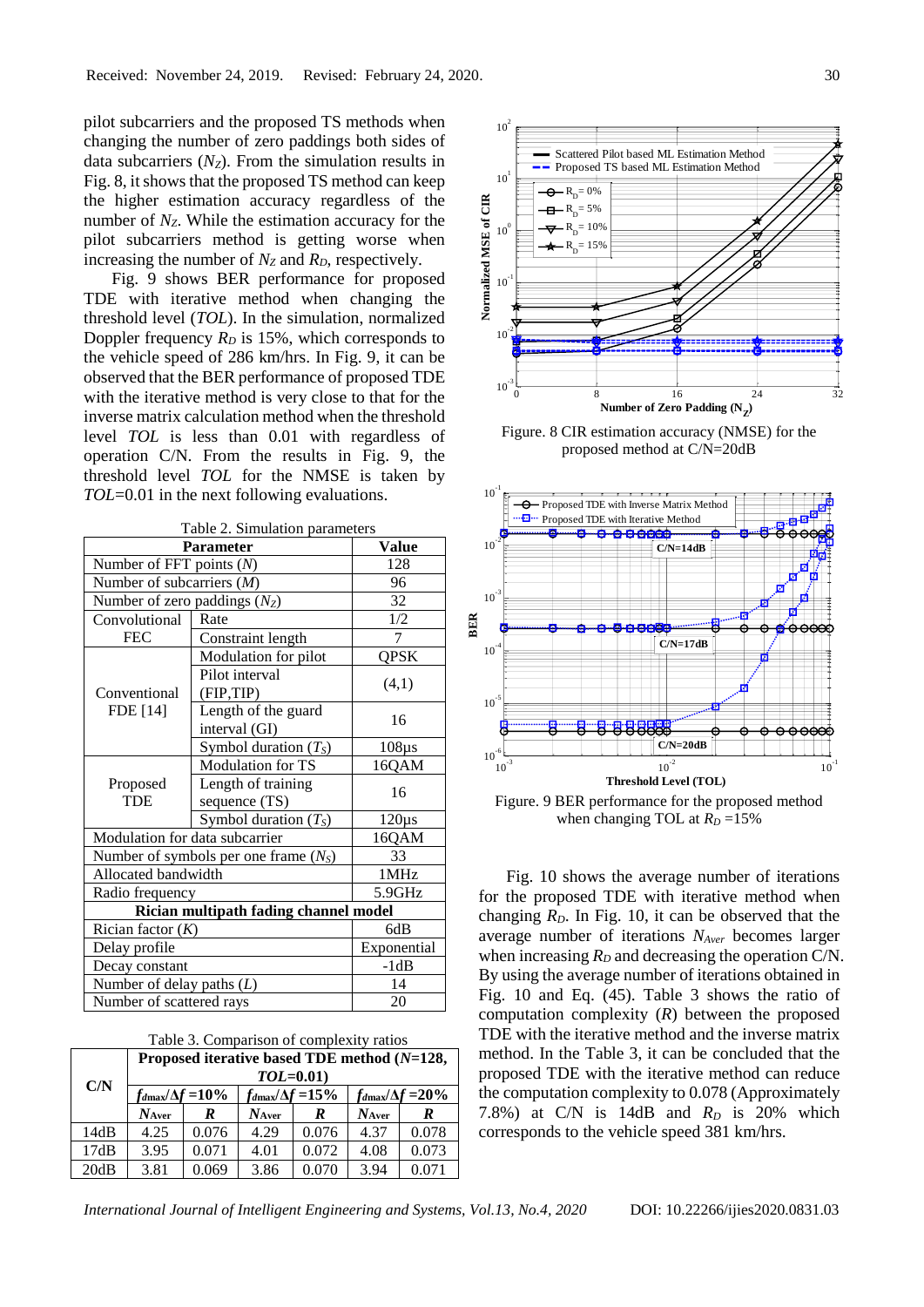pilot subcarriers and the proposed TS methods when changing the number of zero paddings both sides of data subcarriers (*NZ*). From the simulation results in Fig. 8, it shows that the proposed TS method can keep the higher estimation accuracy regardless of the number of  $N_z$ . While the estimation accuracy for the pilot subcarriers method is getting worse when increasing the number of *N<sup>Z</sup>* and *RD*, respectively.

Fig. 9 shows BER performance for proposed TDE with iterative method when changing the threshold level (*TOL*). In the simulation, normalized Doppler frequency  $R_D$  is 15%, which corresponds to the vehicle speed of 286 km/hrs. In Fig. 9, it can be observed that the BER performance of proposed TDE with the iterative method is very close to that for the inverse matrix calculation method when the threshold level *TOL* is less than 0.01 with regardless of operation C/N. From the results in Fig. 9, the threshold level *TOL* for the NMSE is taken by *TOL*=0.01 in the next following evaluations.

|                                        | Table 2. Simulation parameters        |             |  |  |  |  |  |
|----------------------------------------|---------------------------------------|-------------|--|--|--|--|--|
| <b>Parameter</b>                       | Value                                 |             |  |  |  |  |  |
| Number of FFT points $(N)$             | 128                                   |             |  |  |  |  |  |
| Number of subcarriers $(M)$            | 96                                    |             |  |  |  |  |  |
| Number of zero paddings $(N_Z)$        | 32                                    |             |  |  |  |  |  |
| Convolutional                          | Rate                                  | 1/2         |  |  |  |  |  |
| <b>FEC</b>                             | Constraint length                     | 7           |  |  |  |  |  |
| Conventional<br>FDE [14]               | Modulation for pilot                  | QPSK        |  |  |  |  |  |
|                                        | Pilot interval<br>(FIP,TIP)           | (4,1)       |  |  |  |  |  |
|                                        | Length of the guard<br>interval (GI)  | 16          |  |  |  |  |  |
|                                        | Symbol duration $(T_S)$               | $108\mu s$  |  |  |  |  |  |
|                                        | <b>Modulation for TS</b>              | 16QAM       |  |  |  |  |  |
| Proposed<br><b>TDE</b>                 | Length of training                    | 16          |  |  |  |  |  |
|                                        | sequence (TS)                         |             |  |  |  |  |  |
|                                        | Symbol duration $(T_S)$               | $120\mu s$  |  |  |  |  |  |
| Modulation for data subcarrier         | 16QAM                                 |             |  |  |  |  |  |
| Number of symbols per one frame $(NS)$ | 33                                    |             |  |  |  |  |  |
| Allocated bandwidth                    | 1MHz                                  |             |  |  |  |  |  |
| Radio frequency                        | 5.9GHz                                |             |  |  |  |  |  |
|                                        | Rician multipath fading channel model |             |  |  |  |  |  |
| Rician factor $(K)$                    |                                       | 6dB         |  |  |  |  |  |
| Delay profile                          |                                       | Exponential |  |  |  |  |  |
| Decay constant                         | $-1dB$                                |             |  |  |  |  |  |
| Number of delay paths $(L)$            | 14                                    |             |  |  |  |  |  |
| Number of scattered rays               | 20                                    |             |  |  |  |  |  |

| C/N  | Proposed iterative based TDE method (N=128,<br>$TOL=0.01$ |       |                                  |       |                                   |       |  |
|------|-----------------------------------------------------------|-------|----------------------------------|-------|-----------------------------------|-------|--|
|      | $f_{d\text{max}}/\Delta f$ = 10%                          |       | $f_{d\text{max}}/\Delta f$ = 15% |       | $f_{d\text{max}}/\Delta f = 20\%$ |       |  |
|      | $N_{\rm Aver}$                                            | R     | $N_{Aver}$                       | R     | $N_{Aver}$                        | R     |  |
| 14dB | 4.25                                                      | 0.076 | 4.29                             | 0.076 | 4.37                              | 0.078 |  |
| 17dB | 3.95                                                      | 0.071 | 4.01                             | 0.072 | 4.08                              | 0.073 |  |
| 20dB | 3.81                                                      | 0.069 | 3.86                             | 0.070 | 3.94                              | 0.071 |  |



Figure. 8 CIR estimation accuracy (NMSE) for the proposed method at C/N=20dB



Fig. 10 shows the average number of iterations for the proposed TDE with iterative method when changing  $R<sub>D</sub>$ . In Fig. 10, it can be observed that the average number of iterations *NAver* becomes larger when increasing  $R_D$  and decreasing the operation C/N. By using the average number of iterations obtained in Fig. 10 and Eq. (45). Table 3 shows the ratio of computation complexity (*R*) between the proposed TDE with the iterative method and the inverse matrix method. In the Table 3, it can be concluded that the proposed TDE with the iterative method can reduce the computation complexity to 0.078 (Approximately 7.8%) at C/N is 14dB and *R<sup>D</sup>* is 20% which corresponds to the vehicle speed 381 km/hrs.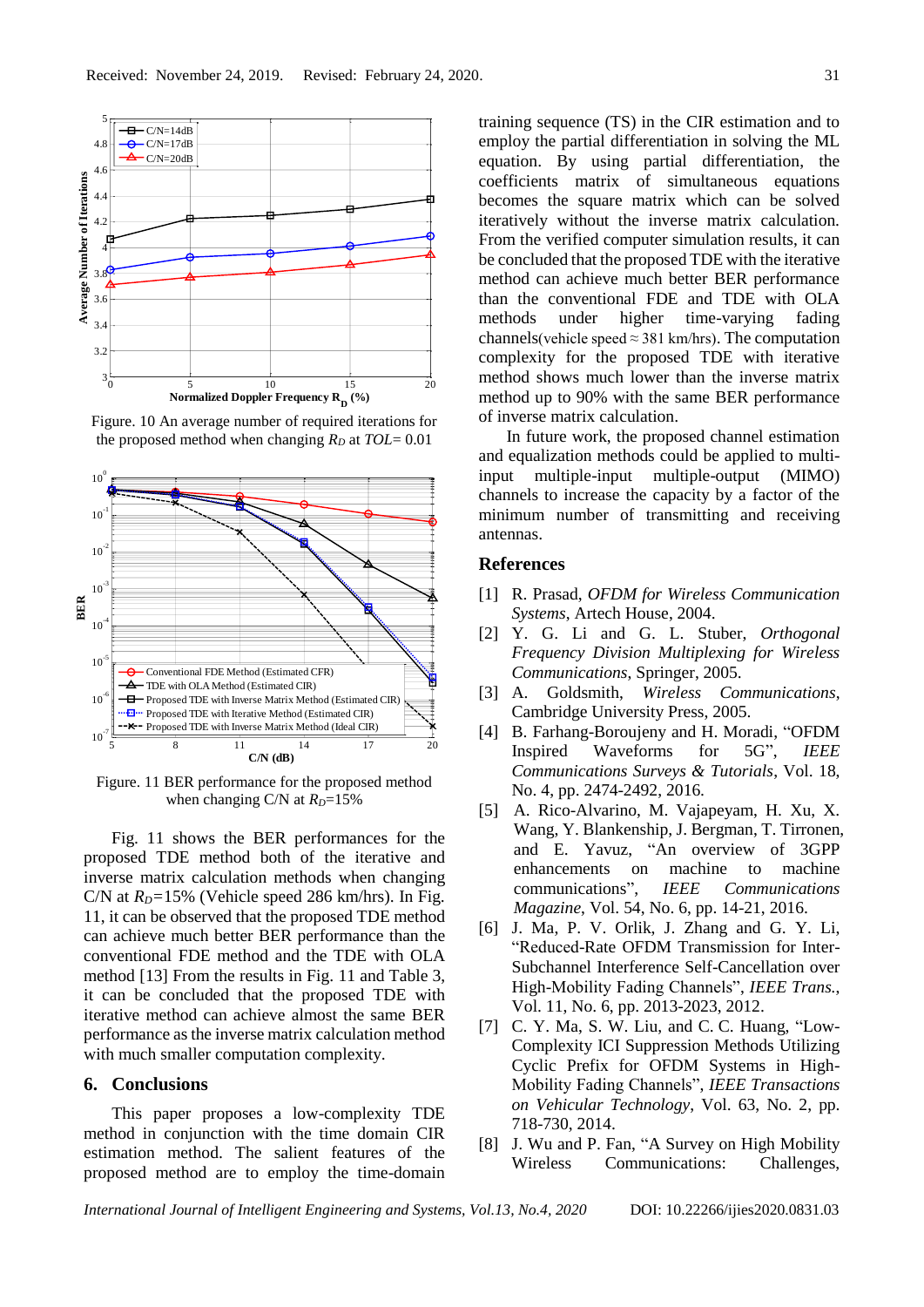

Figure. 10 An average number of required iterations for the proposed method when changing  $R_D$  at  $TOL = 0.01$ 



Figure. 11 BER performance for the proposed method when changing C/N at  $R_D$ =15%

Fig. 11 shows the BER performances for the proposed TDE method both of the iterative and inverse matrix calculation methods when changing C/N at  $R<sub>D</sub>=15%$  (Vehicle speed 286 km/hrs). In Fig. 11, it can be observed that the proposed TDE method can achieve much better BER performance than the conventional FDE method and the TDE with OLA method [13] From the results in Fig. 11 and Table 3, it can be concluded that the proposed TDE with iterative method can achieve almost the same BER performance as the inverse matrix calculation method with much smaller computation complexity.

#### **6. Conclusions**

This paper proposes a low-complexity TDE method in conjunction with the time domain CIR estimation method. The salient features of the proposed method are to employ the time-domain

training sequence (TS) in the CIR estimation and to employ the partial differentiation in solving the ML equation. By using partial differentiation, the coefficients matrix of simultaneous equations becomes the square matrix which can be solved iteratively without the inverse matrix calculation. From the verified computer simulation results, it can be concluded that the proposed TDE with the iterative method can achieve much better BER performance than the conventional FDE and TDE with OLA methods under higher time-varying fading channels(vehicle speed  $\approx$  381 km/hrs). The computation complexity for the proposed TDE with iterative method shows much lower than the inverse matrix method up to 90% with the same BER performance of inverse matrix calculation.

In future work, the proposed channel estimation and equalization methods could be applied to multiinput multiple-input multiple-output (MIMO) channels to increase the capacity by a factor of the minimum number of transmitting and receiving antennas.

#### **References**

- [1] R. Prasad, *OFDM for Wireless Communication Systems*, Artech House, 2004.
- [2] Y. G. Li and G. L. Stuber, *Orthogonal Frequency Division Multiplexing for Wireless Communications*, Springer, 2005.
- [3] A. Goldsmith, *Wireless Communications*, Cambridge University Press, 2005.
- [4] B. Farhang-Boroujeny and H. Moradi, "OFDM Inspired Waveforms for 5G", *IEEE Communications Surveys & Tutorials*, Vol. 18, No. 4, pp. 2474-2492, 2016.
- [5] A. Rico-Alvarino, M. Vajapeyam, H. Xu, X. Wang, Y. Blankenship, J. Bergman, T. Tirronen, and E. Yavuz, "An overview of 3GPP enhancements on machine to machine communications", *IEEE Communications Magazine*, Vol. 54, No. 6, pp. 14-21, 2016.
- [6] J. Ma, P. V. Orlik, J. Zhang and G. Y. Li, "Reduced-Rate OFDM Transmission for Inter-Subchannel Interference Self-Cancellation over High-Mobility Fading Channels", *IEEE Trans.*, Vol. 11, No. 6, pp. 2013-2023, 2012.
- [7] C. Y. Ma, S. W. Liu, and C. C. Huang, "Low-Complexity ICI Suppression Methods Utilizing Cyclic Prefix for OFDM Systems in High-Mobility Fading Channels", *IEEE Transactions on Vehicular Technology*, Vol. 63, No. 2, pp. 718-730, 2014.
- [8] J. Wu and P. Fan, "A Survey on High Mobility Wireless Communications: Challenges,